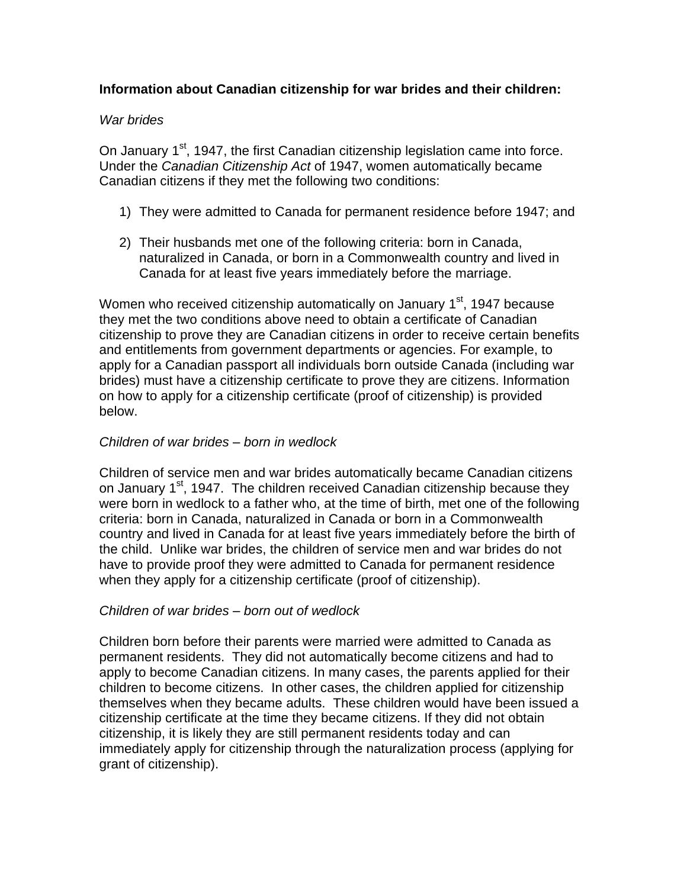## **Information about Canadian citizenship for war brides and their children:**

### War brides

On January 1<sup>st</sup>, 1947, the first Canadian citizenship legislation came into force. Under the Canadian Citizenship Act of 1947, women automatically became Canadian citizens if they met the following two conditions:

- 1) They were admitted to Canada for permanent residence before 1947; and
- 2) Their husbands met one of the following criteria: born in Canada,<br>naturalized in Canada, or born in a Commonwealth country and lived in Canada for at least five years immediately before the marriage.

Women who received citizenship automatically on January 1<sup>st</sup>, 1947 because they met the two conditions above need to obtain a certificate of Canadian citizenship to prove they are Canadian citizens in order to receive certain benefits and entitlements from government departments or agencies. For example, to apply for a Canadian passport all individuals born outside Canada (including war brides) must have a citizenship certificate to prove they are citizens. Information on how to apply for a citizenship certificate (proof of citizenship) is provided below.

#### Children of war brides *–* born in wedlock

Children of service men and war brides automatically became Canadian citizens on January 1<sup>st</sup>, 1947. The children received Canadian citizenship because they were born in wedlock to a father who, at the time of birth, met one of the following criteria: born in Canada, naturalized in Canada or born in a Commonwealth country and lived in Canada for at least five years immediately before the birth of the child. Unlike war brides, the children of service men and war brides do not have to provide proof they were admitted to Canada for permanent residence when they apply for a citizenship certificate (proof of citizenship).

### Children of war brides *–* born out of wedlock

Children born before their parents were married were admitted to Canada as permanent residents. They did not automatically become citizens and had to apply to become Canadian citizens. In many cases, the parents applied for their children to become citizens. In other cases, the children applied for citizenship themselves when they became adults. These children would have been issued a citizenship certificate at the time they became citizens. If they did not obtain citizenship, it is likely they are still permanent residents today and can immediately apply for citizenship through the naturalization process (applying for grant of citizenship).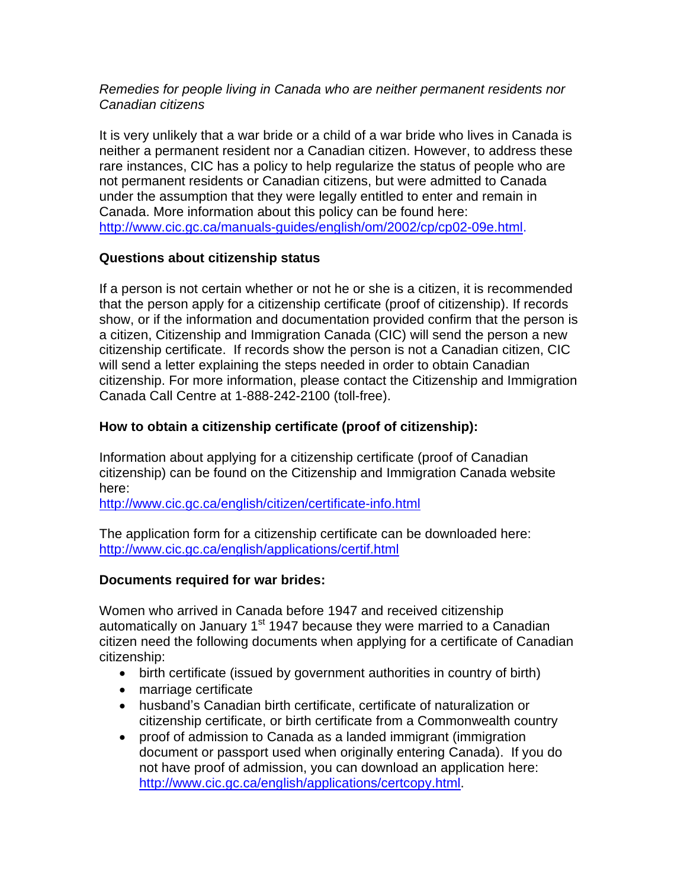### Remedies for people living in Canada who are neither permanent residents nor Canadian citizens

It is very unlikely that a war bride or a child of a war bride who lives in Canada is neither a permanent resident nor a Canadian citizen. However, to address these rare instances, CIC has a policy to help regularize the status of people who are not permanent residents or Canadian citizens, but were admitted to Canada under the assumption that they were legally entitled to enter and remain in Canada. More information about this policy can be found here: [http://www.cic.gc.ca/manuals-guides/english/om/2002/cp/cp02-09e.html.](http://www.cic.gc.ca/manuals-guides/english/om/2002/cp/cp02-09e.html)

## **Questions about citizenship status**

If a person is not certain whether or not he or she is a citizen, it is recommended that the person apply for a citizenship certificate (proof of citizenship). If records show, or if the information and documentation provided confirm that the person is a citizen, Citizenship and Immigration Canada (CIC) will send the person a new citizenship certificate. If records show the person is not a Canadian citizen, CIC will send a letter explaining the steps needed in order to obtain Canadian citizenship. For more information, please contact the Citizenship and Immigration Canada Call Centre at 1-888-242-2100 (toll-free).

## **How to obtain a citizenship certificate (proof of citizenship):**

Information about applying for a citizenship certificate (proof of Canadian citizenship) can be found on the Citizenship and Immigration Canada website here:

<http://www.cic.gc.ca/english/citizen/certificate-info.html>

The application form for a citizenship certificate can be downloaded here: <http://www.cic.gc.ca/english/applications/certif.html>

### **Documents required for war brides:**

Women who arrived in Canada before 1947 and received citizenship automatically on January 1<sup>st</sup> 1947 because they were married to a Canadian citizen need the following documents when applying for a certificate of Canadian citizenship:

- birth certificate (issued by government authorities in country of birth)
- · marriage certificate
- · husband's Canadian birth certificate, certificate of naturalization or citizenship certificate, or birth certificate from a Commonwealth country
- proof of admission to Canada as a landed immigrant (immigration document or passport used when originally entering Canada). If you do not have proof of admission, you can download an application here: [http://www.cic.gc.ca/english/applications/certcopy.html.](http://www.cic.gc.ca/english/applications/certcopy.html)